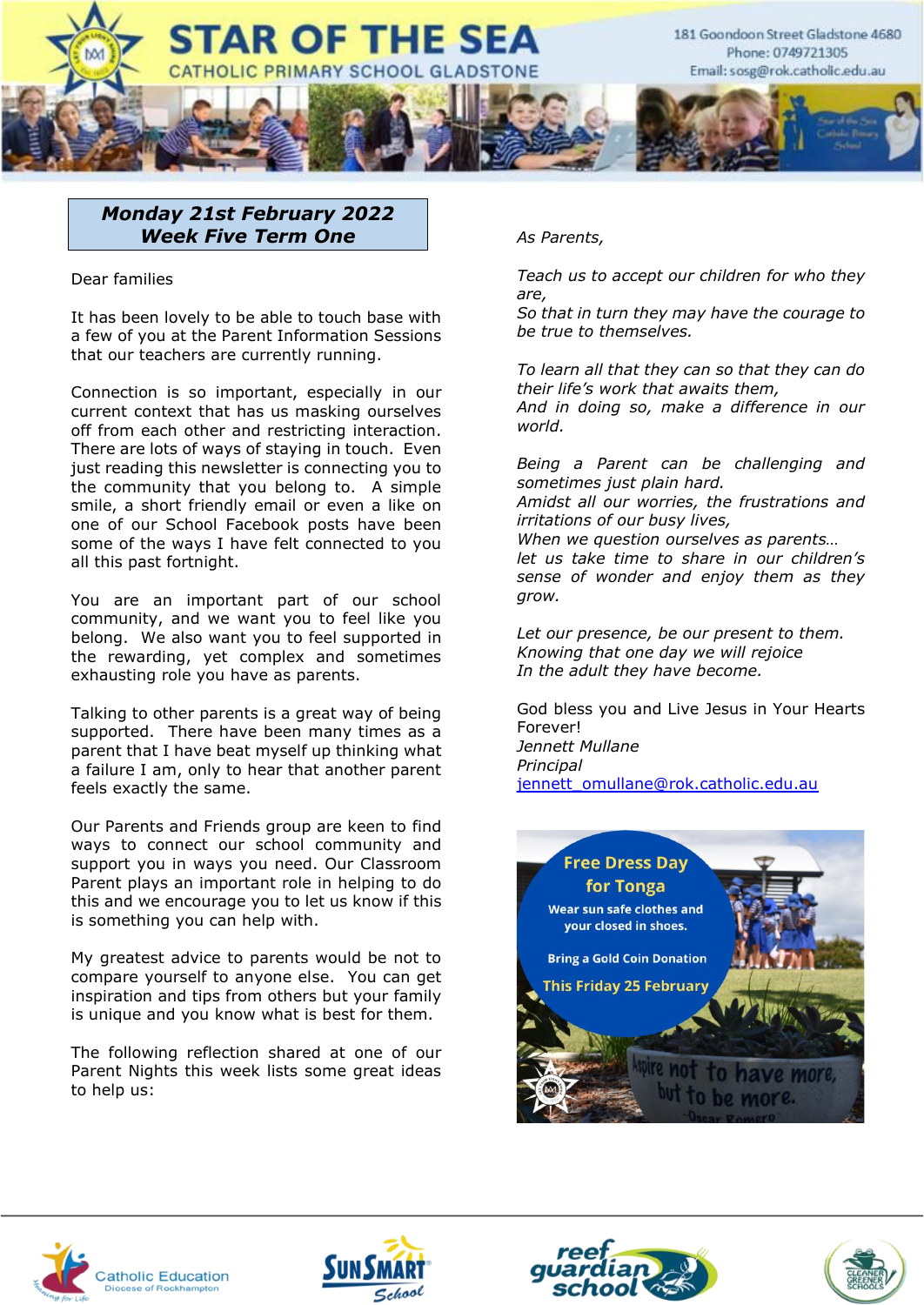

# *Monday 21st February 2022 Week Five Term One*

Dear families

It has been lovely to be able to touch base with a few of you at the Parent Information Sessions that our teachers are currently running.

Connection is so important, especially in our current context that has us masking ourselves off from each other and restricting interaction. There are lots of ways of staying in touch. Even just reading this newsletter is connecting you to the community that you belong to. A simple smile, a short friendly email or even a like on one of our School Facebook posts have been some of the ways I have felt connected to you all this past fortnight.

You are an important part of our school community, and we want you to feel like you belong. We also want you to feel supported in the rewarding, yet complex and sometimes exhausting role you have as parents.

Talking to other parents is a great way of being supported. There have been many times as a parent that I have beat myself up thinking what a failure I am, only to hear that another parent feels exactly the same.

Our Parents and Friends group are keen to find ways to connect our school community and support you in ways you need. Our Classroom Parent plays an important role in helping to do this and we encourage you to let us know if this is something you can help with.

My greatest advice to parents would be not to compare yourself to anyone else. You can get inspiration and tips from others but your family is unique and you know what is best for them.

The following reflection shared at one of our Parent Nights this week lists some great ideas to help us:

### *As Parents,*

*Teach us to accept our children for who they are,*

*So that in turn they may have the courage to be true to themselves.*

*To learn all that they can so that they can do their life's work that awaits them, And in doing so, make a difference in our world.*

*Being a Parent can be challenging and sometimes just plain hard. Amidst all our worries, the frustrations and irritations of our busy lives, When we question ourselves as parents… let us take time to share in our children's sense of wonder and enjoy them as they grow.*

*Let our presence, be our present to them. Knowing that one day we will rejoice In the adult they have become.*

God bless you and Live Jesus in Your Hearts **Forever!** *Jennett Mullane Principal* [jennett\\_omullane@rok.catholic.edu.au](mailto:jennett_omullane@rok.catholic.edu.au)









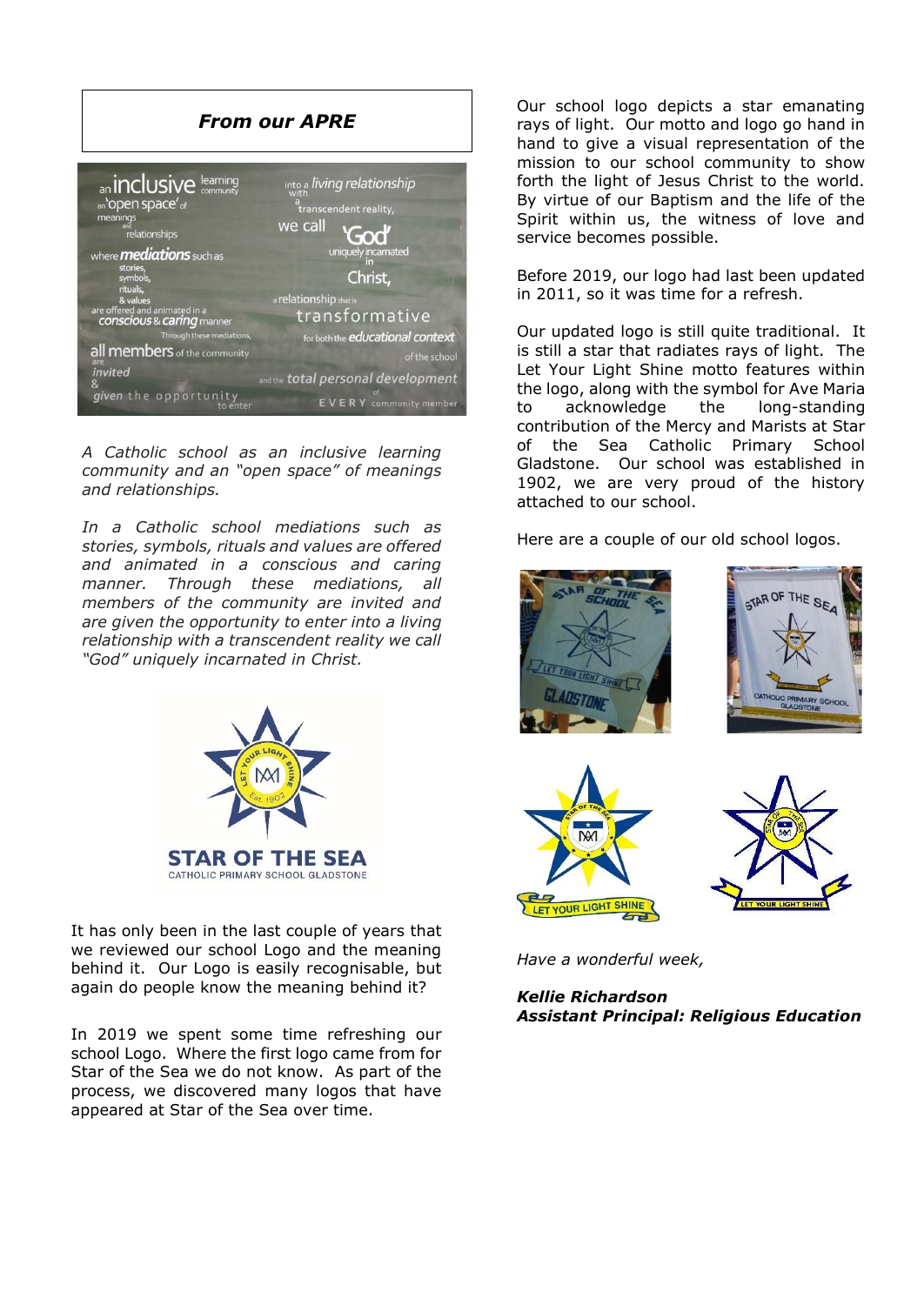

*A Catholic school as an inclusive learning community and an "open space" of meanings and relationships.*

*In a Catholic school mediations such as stories, symbols, rituals and values are offered and animated in a conscious and caring manner. Through these mediations, all members of the community are invited and are given the opportunity to enter into a living relationship with a transcendent reality we call "God" uniquely incarnated in Christ.*



It has only been in the last couple of years that we reviewed our school Logo and the meaning behind it. Our Logo is easily recognisable, but again do people know the meaning behind it?

In 2019 we spent some time refreshing our school Logo. Where the first logo came from for Star of the Sea we do not know. As part of the process, we discovered many logos that have appeared at Star of the Sea over time.

Our school logo depicts a star emanating rays of light. Our motto and logo go hand in hand to give a visual representation of the mission to our school community to show forth the light of Jesus Christ to the world. By virtue of our Baptism and the life of the Spirit within us, the witness of love and service becomes possible.

Before 2019, our logo had last been updated in 2011, so it was time for a refresh.

Our updated logo is still quite traditional. It is still a star that radiates rays of light. The Let Your Light Shine motto features within the logo, along with the symbol for Ave Maria to acknowledge the long-standing contribution of the Mercy and Marists at Star of the Sea Catholic Primary School Gladstone. Our school was established in 1902, we are very proud of the history attached to our school.

Here are a couple of our old school logos.



*Have a wonderful week,* 

*Kellie Richardson Assistant Principal: Religious Education*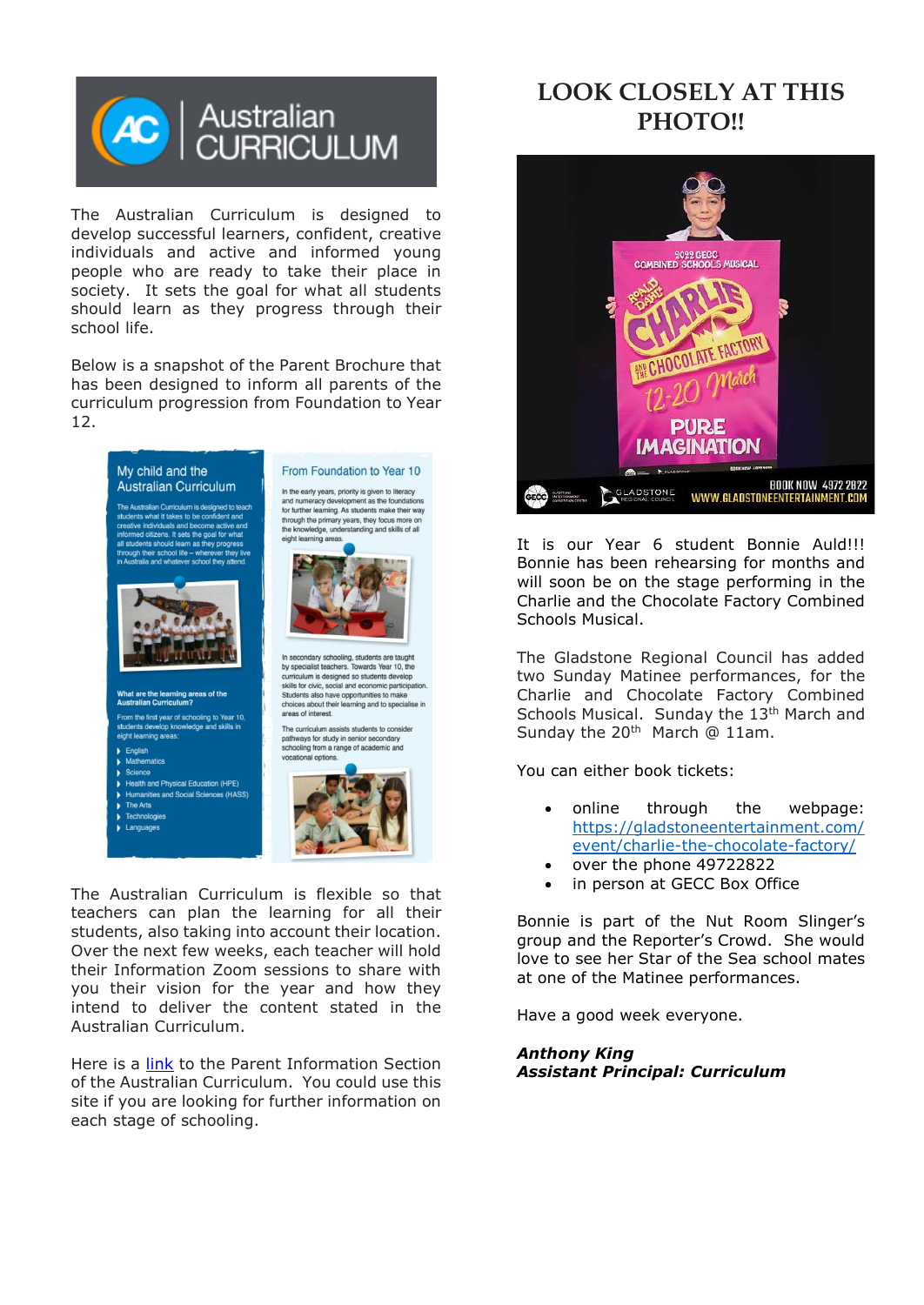

The Australian Curriculum is designed to develop successful learners, confident, creative individuals and active and informed young people who are ready to take their place in society. It sets the goal for what all students should learn as they progress through their school life.

Below is a snapshot of the Parent Brochure that has been designed to inform all parents of the curriculum progression from Foundation to Year 12.



The Australian Curriculum is flexible so that teachers can plan the learning for all their students, also taking into account their location. Over the next few weeks, each teacher will hold their Information Zoom sessions to share with you their vision for the year and how they intend to deliver the content stated in the Australian Curriculum.

Here is a [link](https://www.australiancurriculum.edu.au/parent-information/) to the Parent Information Section of the Australian Curriculum. You could use this site if you are looking for further information on each stage of schooling.

# **LOOK CLOSELY AT THIS PHOTO!!**



It is our Year 6 student Bonnie Auld!!! Bonnie has been rehearsing for months and will soon be on the stage performing in the Charlie and the Chocolate Factory Combined Schools Musical.

The Gladstone Regional Council has added two Sunday Matinee performances, for the Charlie and Chocolate Factory Combined Schools Musical. Sunday the 13<sup>th</sup> March and Sunday the  $20<sup>th</sup>$  March @ 11am.

You can either book tickets:

- online through the webpage: [https://gladstoneentertainment.com/](https://protect-au.mimecast.com/s/z_0cCRON5qH5DGWpu9cHrW?domain=gladstoneentertainment.com/) [event/charlie-the-chocolate-factory/](https://protect-au.mimecast.com/s/z_0cCRON5qH5DGWpu9cHrW?domain=gladstoneentertainment.com/)
- over the phone 49722822
- in person at GECC Box Office

Bonnie is part of the Nut Room Slinger's group and the Reporter's Crowd. She would love to see her Star of the Sea school mates at one of the Matinee performances.

Have a good week everyone.

*Anthony King Assistant Principal: Curriculum*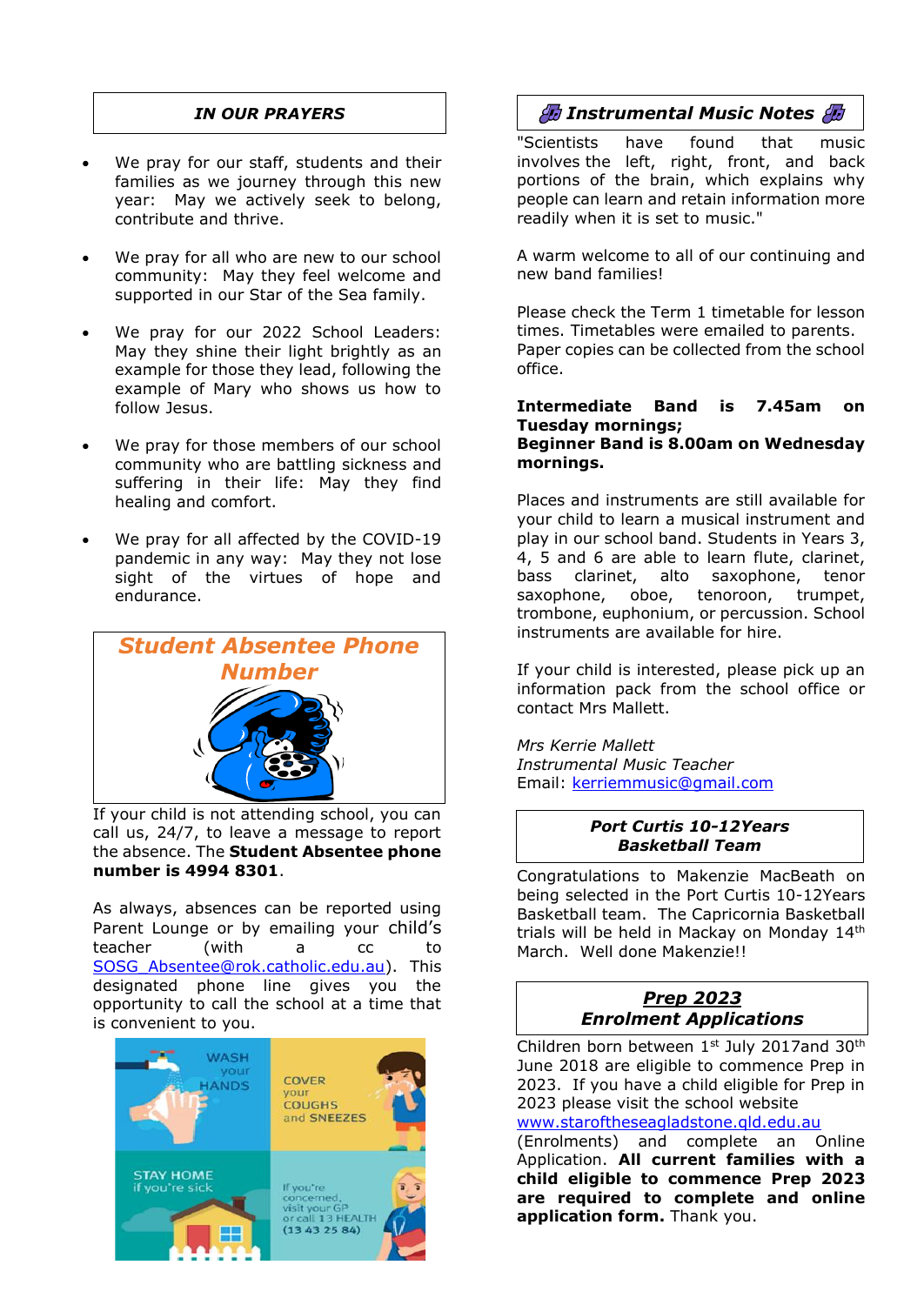## *IN OUR PRAYERS*

- We pray for our staff, students and their families as we journey through this new year: May we actively seek to belong, contribute and thrive.
- We pray for all who are new to our school community: May they feel welcome and supported in our Star of the Sea family.
- We pray for our 2022 School Leaders: May they shine their light brightly as an example for those they lead, following the example of Mary who shows us how to follow Jesus.
- We pray for those members of our school community who are battling sickness and suffering in their life: May they find healing and comfort.
- We pray for all affected by the COVID-19 pandemic in any way: May they not lose sight of the virtues of hope and endurance.



If your child is not attending school, you can call us, 24/7, to leave a message to report the absence. The **Student Absentee phone number is 4994 8301**.

As always, absences can be reported using Parent Lounge or by emailing your child's teacher (with a cc to [SOSG\\_Absentee@rok.catholic.edu.au\)](mailto:SOSG_Absentee@rok.catholic.edu.au). This designated phone line gives you the opportunity to call the school at a time that is convenient to you.



# *Instrumental Music Notes*

"Scientists have found that music involves the left, right, front, and back portions of the brain, which explains why people can learn and retain information more readily when it is set to music."

A warm welcome to all of our continuing and new band families!

Please check the Term 1 timetable for lesson times. Timetables were emailed to parents. Paper copies can be collected from the school office.

#### **Intermediate Band is 7.45am on Tuesday mornings; Beginner Band is 8.00am on Wednesday mornings.**

Places and instruments are still available for your child to learn a musical instrument and play in our school band. Students in Years 3, 4, 5 and 6 are able to learn flute, clarinet, bass clarinet, alto saxophone, tenor saxophone, oboe, tenoroon, trumpet, trombone, euphonium, or percussion. School instruments are available for hire.

If your child is interested, please pick up an information pack from the school office or contact Mrs Mallett.

*Mrs Kerrie Mallett Instrumental Music Teacher* Email: [kerriemmusic@gmail.com](mailto:kerriemmusic@gmail.com)

### *Port Curtis 10-12Years Basketball Team*

Congratulations to Makenzie MacBeath on being selected in the Port Curtis 10-12Years Basketball team. The Capricornia Basketball trials will be held in Mackay on Monday 14<sup>th</sup> March. Well done Makenzie!!

# *Prep 2023 Enrolment Applications*

Children born between 1st July 2017and 30<sup>th</sup> June 2018 are eligible to commence Prep in 2023. If you have a child eligible for Prep in 2023 please visit the school website

[www.staroftheseagladstone.qld.edu.au](http://www.staroftheseagladstone.qld.edu.au/)

(Enrolments) and complete an Online Application. **All current families with a child eligible to commence Prep 2023 are required to complete and online application form.** Thank you.